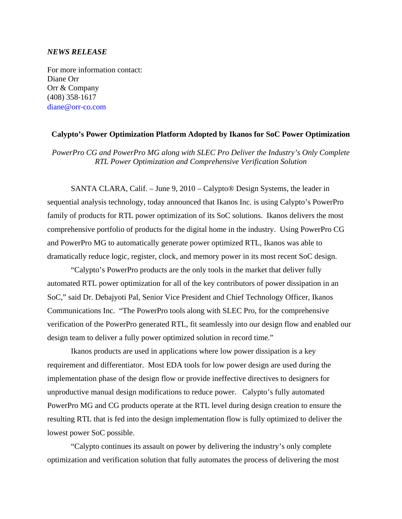#### *NEWS RELEASE*

For more information contact: Diane Orr Orr & Company (408) 358‐1617 diane@orr‐co.com

#### **Calypto's Power Optimization Platform Adopted by Ikanos for SoC Power Optimization**

*PowerPro CG and PowerPro MG along with SLEC Pro Deliver the Industry's Only Complete RTL Power Optimization and Comprehensive Verification Solution* 

SANTA CLARA, Calif. – June 9, 2010 – Calypto® Design Systems, the leader in sequential analysis technology, today announced that Ikanos Inc. is using Calypto's PowerPro family of products for RTL power optimization of its SoC solutions. Ikanos delivers the most comprehensive portfolio of products for the digital home in the industry. Using PowerPro CG and PowerPro MG to automatically generate power optimized RTL, Ikanos was able to dramatically reduce logic, register, clock, and memory power in its most recent SoC design.

"Calypto's PowerPro products are the only tools in the market that deliver fully automated RTL power optimization for all of the key contributors of power dissipation in an SoC," said Dr. Debajyoti Pal, Senior Vice President and Chief Technology Officer, Ikanos Communications Inc. "The PowerPro tools along with SLEC Pro, for the comprehensive verification of the PowerPro generated RTL, fit seamlessly into our design flow and enabled our design team to deliver a fully power optimized solution in record time."

Ikanos products are used in applications where low power dissipation is a key requirement and differentiator. Most EDA tools for low power design are used during the implementation phase of the design flow or provide ineffective directives to designers for unproductive manual design modifications to reduce power. Calypto's fully automated PowerPro MG and CG products operate at the RTL level during design creation to ensure the resulting RTL that is fed into the design implementation flow is fully optimized to deliver the lowest power SoC possible.

"Calypto continues its assault on power by delivering the industry's only complete optimization and verification solution that fully automates the process of delivering the most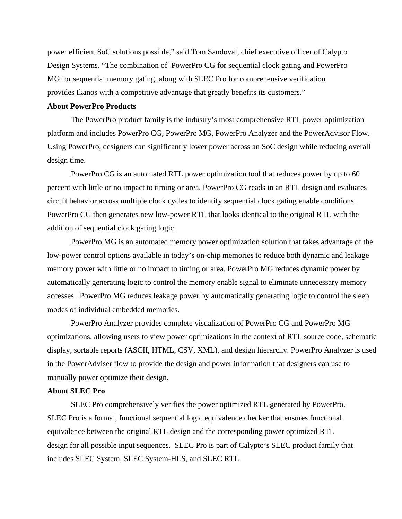power efficient SoC solutions possible," said Tom Sandoval, chief executive officer of Calypto Design Systems. "The combination of PowerPro CG for sequential clock gating and PowerPro MG for sequential memory gating, along with SLEC Pro for comprehensive verification provides Ikanos with a competitive advantage that greatly benefits its customers."

# **About PowerPro Products**

 The PowerPro product family is the industry's most comprehensive RTL power optimization platform and includes PowerPro CG, PowerPro MG, PowerPro Analyzer and the PowerAdvisor Flow. Using PowerPro, designers can significantly lower power across an SoC design while reducing overall design time.

 PowerPro CG is an automated RTL power optimization tool that reduces power by up to 60 percent with little or no impact to timing or area. PowerPro CG reads in an RTL design and evaluates circuit behavior across multiple clock cycles to identify sequential clock gating enable conditions. PowerPro CG then generates new low-power RTL that looks identical to the original RTL with the addition of sequential clock gating logic.

 PowerPro MG is an automated memory power optimization solution that takes advantage of the low-power control options available in today's on-chip memories to reduce both dynamic and leakage memory power with little or no impact to timing or area. PowerPro MG reduces dynamic power by automatically generating logic to control the memory enable signal to eliminate unnecessary memory accesses. PowerPro MG reduces leakage power by automatically generating logic to control the sleep modes of individual embedded memories.

 PowerPro Analyzer provides complete visualization of PowerPro CG and PowerPro MG optimizations, allowing users to view power optimizations in the context of RTL source code, schematic display, sortable reports (ASCII, HTML, CSV, XML), and design hierarchy. PowerPro Analyzer is used in the PowerAdviser flow to provide the design and power information that designers can use to manually power optimize their design.

### **About SLEC Pro**

 SLEC Pro comprehensively verifies the power optimized RTL generated by PowerPro. SLEC Pro is a formal, functional sequential logic equivalence checker that ensures functional equivalence between the original RTL design and the corresponding power optimized RTL design for all possible input sequences. SLEC Pro is part of Calypto's SLEC product family that includes SLEC System, SLEC System-HLS, and SLEC RTL.